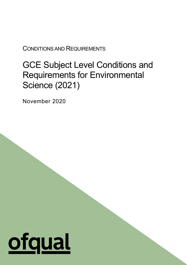CONDITIONS AND REQUIREMENTS

# GCE Subject Level Conditions and Requirements for Environmental Science (2021)

1

November 2020

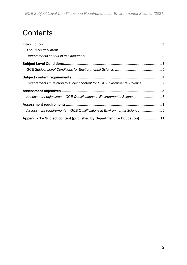# **Contents**

| Requirements in relation to subject content for GCE Environmental Science 7 |  |
|-----------------------------------------------------------------------------|--|
|                                                                             |  |
| Assessment objectives - GCE Qualifications in Environmental Science 8       |  |
|                                                                             |  |
| Assessment requirements - GCE Qualifications in Environmental Science9      |  |
| Appendix 1 – Subject content (published by Department for Education) 11     |  |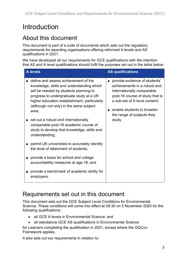# <span id="page-2-0"></span>Introduction

# <span id="page-2-1"></span>About this document

This document is part of a suite of documents which sets out the regulatory requirements for awarding organisations offering reformed A levels and AS qualifications in 2021.

We have developed all our requirements for GCE qualifications with the intention that AS and A level qualifications should fulfil the purposes set out in the table below:

| <b>A</b> levels                                                                                                                                                                                                                                                            | <b>AS qualifications</b>                                                                                                                                                                                                    |
|----------------------------------------------------------------------------------------------------------------------------------------------------------------------------------------------------------------------------------------------------------------------------|-----------------------------------------------------------------------------------------------------------------------------------------------------------------------------------------------------------------------------|
| define and assess achievement of the<br>knowledge, skills and understanding which<br>will be needed by students planning to<br>progress to undergraduate study at a UK<br>higher education establishment, particularly<br>(although not only) in the same subject<br>area; | provide evidence of students'<br>achievements in a robust and<br>internationally comparable<br>post-16 course of study that is<br>a sub-set of A level content;<br>enable students to broaden<br>the range of subjects they |
| set out a robust and internationally<br>comparable post-16 academic course of<br>study to develop that knowledge, skills and<br>understanding;                                                                                                                             | study.                                                                                                                                                                                                                      |
| permit UK universities to accurately identify<br>the level of attainment of students;                                                                                                                                                                                      |                                                                                                                                                                                                                             |
| provide a basis for school and college<br>accountability measures at age 18; and                                                                                                                                                                                           |                                                                                                                                                                                                                             |
| provide a benchmark of academic ability for<br>employers.                                                                                                                                                                                                                  |                                                                                                                                                                                                                             |

# <span id="page-2-2"></span>Requirements set out in this document

This document sets out the GCE Subject Level Conditions for Environmental Science. These conditions will come into effect at 09:30 on 5 November 2020 for the following qualifications:

- all GCE A levels in Environmental Science; and
- all standalone GCE AS qualifications in Environmental Science

for Learners completing the qualification in 2021, except where the GQCov Framework applies.

It also sets out our requirements in relation to: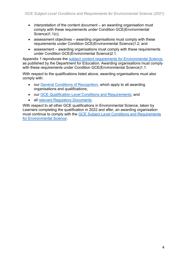- interpretation of the content document an awarding organisation must comply with these requirements under Condition GCE(Environmental Science)1.1(c);
- assessment objectives awarding organisations must comply with these requirements under Condition GCE(Environmental Science)1.2; and
- assessment awarding organisations must comply with these requirements under Condition GCE(Environmental Science)2.1.

Appendix 1 reproduces the [subject content requirements for Environmental Science,](https://www.gov.uk/government/publications/gce-as-and-a-level-environmental-science) as published by the Department for Education. Awarding organisations must comply with these requirements under Condition GCE(Environmental Science)1.1.

With respect to the qualifications listed above, awarding organisations must also comply with:

- our [General Conditions of Recognition,](https://www.gov.uk/government/publications/general-conditions-of-recognition) which apply to all awarding organisations and qualifications;
- our [GCE Qualification Level Conditions and Requirements;](https://www.gov.uk/government/publications/gce-qualification-level-conditions-and-requirements) and
- all [relevant Regulatory Documents.](https://www.gov.uk/guidance/regulatory-document-list)

With respect to all other GCE qualifications in Environmental Science, taken by Learners completing the qualification in 2022 and after, an awarding organisation must continue to comply with the [GCE Subject Level Conditions and Requirements](https://www.gov.uk/government/publications/gce-subject-level-conditions-and-requirements-for-environmental-science)  [for Environmental Science.](https://www.gov.uk/government/publications/gce-subject-level-conditions-and-requirements-for-environmental-science)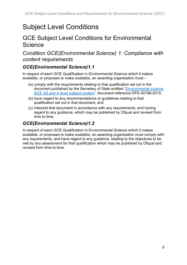# <span id="page-4-0"></span>Subject Level Conditions

# <span id="page-4-1"></span>GCE Subject Level Conditions for Environmental **Science**

*Condition GCE(Environmental Science) 1: Compliance with content requirements*

### *GCE(Environmental Science)1.1*

In respect of each GCE Qualification in Environmental Science which it makes available, or proposes to make available, an awarding organisation must –

- (a) comply with the requirements relating to that qualification set out in the document published by the Secretary of State entitled ['Environmental science](https://www.gov.uk/government/publications/gce-as-and-a-level-environmental-science)  [GCE AS and A level subject content'](https://www.gov.uk/government/publications/gce-as-and-a-level-environmental-science), document reference DFE-00198-2015,
- (b) have regard to any recommendations or guidelines relating to that qualification set out in that document, and
- (c) interpret that document in accordance with any requirements, and having regard to any guidance, which may be published by Ofqual and revised from time to time.

### *GCE(Environmental Science)1.2*

In respect of each GCE Qualification in Environmental Science which it makes available, or proposes to make available, an awarding organisation must comply with any requirements, and have regard to any guidance, relating to the objectives to be met by any assessment for that qualification which may be published by Ofqual and revised from time to time.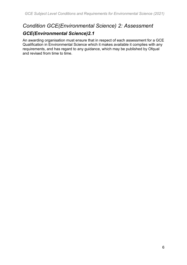# *Condition GCE(Environmental Science) 2: Assessment GCE(Environmental Science)2.1*

An awarding organisation must ensure that in respect of each assessment for a GCE Qualification in Environmental Science which it makes available it complies with any requirements, and has regard to any guidance, which may be published by Ofqual and revised from time to time.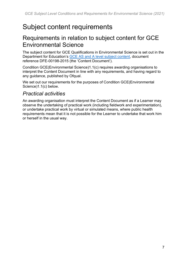# <span id="page-6-0"></span>Subject content requirements

# <span id="page-6-1"></span>Requirements in relation to subject content for GCE Environmental Science

The subject content for GCE Qualifications in Environmental Science is set out in the Department for Education's [GCE AS and A level subject content,](https://www.gov.uk/government/publications/gce-as-and-a-level-environmental-science) document reference DFE-00198-2015 (the 'Content Document').

Condition GCE(Environmental Science)1.1(c) requires awarding organisations to interpret the Content Document in line with any requirements, and having regard to any guidance, published by Ofqual.

We set out our requirements for the purposes of Condition GCE(Environmental Science)1.1(c) below.

### *Practical activities*

An awarding organisation must interpret the Content Document as if a Learner may observe the undertaking of practical work (including fieldwork and experimentation), or undertake practical work by virtual or simulated means, where public health requirements mean that it is not possible for the Learner to undertake that work him or herself in the usual way.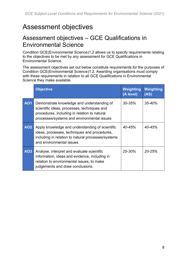# <span id="page-7-0"></span>Assessment objectives

# <span id="page-7-1"></span>Assessment objectives – GCE Qualifications in Environmental Science

Condition GCE(Environmental Science)1.2 allows us to specify requirements relating to the objectives to be met by any assessment for GCE Qualifications in Environmental Science.

The assessment objectives set out below constitute requirements for the purposes of Condition GCE(Environmental Science)1.2. Awarding organisations must comply with these requirements in relation to all GCE Qualifications in Environmental Science they make available.

|            | <b>Objective</b>                                                                                                                                                                        | Weighting<br>(A level) | Weighting<br>(AS) |
|------------|-----------------------------------------------------------------------------------------------------------------------------------------------------------------------------------------|------------------------|-------------------|
| <b>AO1</b> | Demonstrate knowledge and understanding of<br>scientific ideas, processes, techniques and<br>procedures, including in relation to natural<br>processes/systems and environmental issues | $30 - 35%$             | 35-40%            |
| <b>AO2</b> | Apply knowledge and understanding of scientific<br>ideas, processes, techniques and procedures,<br>including in relation to natural processes/systems<br>and environmental issues       | $40 - 45%$             | $40 - 45%$        |
| AO3        | Analyse, interpret and evaluate scientific<br>information, ideas and evidence, including in<br>relation to environmental issues, to make<br>judgements and draw conclusions.            | $25 - 30%$             | $20 - 25%$        |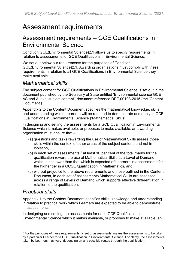# <span id="page-8-0"></span>Assessment requirements

# <span id="page-8-1"></span>Assessment requirements – GCE Qualifications in Environmental Science

Condition GCE(Environmental Science)2.1 allows us to specify requirements in relation to assessments for GCE Qualifications in Environmental Science.

We set out below our requirements for the purposes of Condition GCE(Environmental Science)2.1. Awarding organisations must comply with these requirements in relation to all GCE Qualifications in Environmental Science they make available.

### *Mathematical skills*

The subject content for GCE Qualifications in Environmental Science is set out in the document published by the Secretary of State entitled 'Environmental science GCE AS and A level subject content', document reference DFE-00198-2015 (the 'Content Document').

Appendix 2 to the Content Document specifies the mathematical knowledge, skills and understanding which Learners will be required to demonstrate and apply in GCE Qualifications in Environmental Science ('Mathematical Skills').

In designing and setting the assessments for a GCE Qualification in Environmental Science which it makes available, or proposes to make available, an awarding organisation must ensure that –

- (a) questions and tasks rewarding the use of Mathematical Skills assess those skills within the context of other areas of the subject content, and not in isolation,
- (b) in each set of assessments,<sup>1</sup> at least 10 per cent of the total marks for the qualification reward the use of Mathematical Skills at a Level of Demand which is not lower than that which is expected of Learners in assessments for the higher tier in a GCSE Qualification in Mathematics, and
- (c) without prejudice to the above requirements and those outlined in the Content Document, in each set of assessments Mathematical Skills are assessed across a range of Levels of Demand which supports effective differentiation in relation to the qualification.

## *Practical skills*

Appendix 1 to the Content Document specifies skills, knowledge and understanding in relation to practical work which Learners are expected to be able to demonstrate in assessments.

In designing and setting the assessments for each GCE Qualification in Environmental Science which it makes available, or proposes to make available, an

<sup>&</sup>lt;sup>1</sup> For the purposes of these requirements, a 'set of assessments' means the assessments to be taken by a particular Learner for a GCE Qualification in Environmental Science. For clarity, the assessments taken by Learners may vary, depending on any possible routes through the qualification.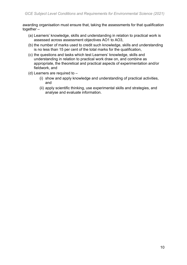awarding organisation must ensure that, taking the assessments for that qualification together –

- (a) Learners' knowledge, skills and understanding in relation to practical work is assessed across assessment objectives AO1 to AO3,
- (b) the number of marks used to credit such knowledge, skills and understanding is no less than 15 per cent of the total marks for the qualification,
- (c) the questions and tasks which test Learners' knowledge, skills and understanding in relation to practical work draw on, and combine as appropriate, the theoretical and practical aspects of experimentation and/or fieldwork, and
- (d) Learners are required to
	- (i) show and apply knowledge and understanding of practical activities, and
	- (ii) apply scientific thinking, use experimental skills and strategies, and analyse and evaluate information.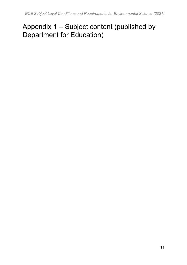# <span id="page-10-0"></span>Appendix 1 – Subject content (published by Department for Education)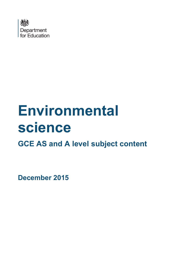

# **Environmental science GCE AS and A level subject content**

<span id="page-11-0"></span>**December 2015**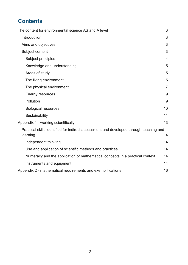# **Contents**

| The content for environmental science AS and A level                                   | 3              |
|----------------------------------------------------------------------------------------|----------------|
| Introduction                                                                           | 3              |
| Aims and objectives                                                                    | 3              |
| Subject content                                                                        | 3              |
| Subject principles                                                                     | 4              |
| Knowledge and understanding                                                            | 5              |
| Areas of study                                                                         | 5              |
| The living environment                                                                 | 5              |
| The physical environment                                                               | $\overline{7}$ |
| Energy resources                                                                       | 9              |
| Pollution                                                                              | 9              |
| <b>Biological resources</b>                                                            | 10             |
| Sustainability                                                                         | 11             |
| Appendix 1 - working scientifically                                                    | 13             |
| Practical skills identified for indirect assessment and developed through teaching and |                |
| learning                                                                               | 14             |
| Independent thinking                                                                   | 14             |
| Use and application of scientific methods and practices                                | 14             |
| Numeracy and the application of mathematical concepts in a practical context           | 14             |
| Instruments and equipment                                                              | 14             |
| Appendix 2 - mathematical requirements and exemplifications                            | 16             |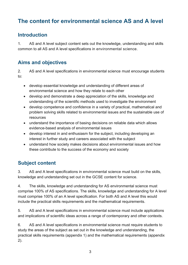# <span id="page-13-0"></span>**The content for environmental science AS and A level**

### <span id="page-13-1"></span>**Introduction**

1. AS and A level subject content sets out the knowledge, understanding and skills common to all AS and A level specifications in environmental science.

### <span id="page-13-2"></span>**Aims and objectives**

2. AS and A level specifications in environmental science must encourage students to:

- develop essential knowledge and understanding of different areas of environmental science and how they relate to each other
- develop and demonstrate a deep appreciation of the skills, knowledge and understanding of the scientific methods used to investigate the environment
- develop competence and confidence in a variety of practical, mathematical and problem solving skills related to environmental issues and the sustainable use of resources
- understand the importance of basing decisions on reliable data which allows evidence-based analysis of environmental issues
- develop interest in and enthusiasm for the subject, including developing an interest in further study and careers associated with the subject
- understand how society makes decisions about environmental issues and how these contribute to the success of the economy and society

### <span id="page-13-3"></span>**Subject content**

3. AS and A level specifications in environmental science must build on the skills, knowledge and understanding set out in the GCSE content for science.

4. The skills, knowledge and understanding for AS environmental science must comprise 100% of AS specifications. The skills, knowledge and understanding for A level must comprise 100% of an A level specification. For both AS and A level this would include the practical skills requirements and the mathematical requirements.

5. AS and A level specifications in environmental science must include applications and implications of scientific ideas across a range of contemporary and other contexts.

6. AS and A level specifications in environmental science must require students to study the areas of the subject as set out in the knowledge and understanding, the practical skills requirements (appendix 1) and the mathematical requirements (appendix 2).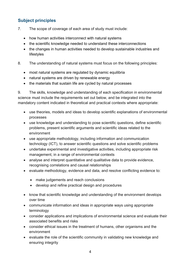#### <span id="page-14-0"></span>**Subject principles**

- 7. The scope of coverage of each area of study must include:
	- how human activities interconnect with natural systems
	- the scientific knowledge needed to understand these interconnections
	- the changes in human activities needed to develop sustainable industries and lifestyles
- 8. The understanding of natural systems must focus on the following principles:
	- most natural systems are regulated by dynamic equilibria
	- natural systems are driven by renewable energy
	- the materials that sustain life are cycled by natural processes

9. The skills, knowledge and understanding of each specification in environmental science must include the requirements set out below, and be integrated into the mandatory content indicated in theoretical and practical contexts where appropriate:

- use theories, models and ideas to develop scientific explanations of environmental processes
- use knowledge and understanding to pose scientific questions, define scientific problems, present scientific arguments and scientific ideas related to the environment
- use appropriate methodology, including information and communication technology (ICT), to answer scientific questions and solve scientific problems
- undertake experimental and investigative activities, including appropriate risk management, in a range of environmental contexts
- analyse and interpret quantitative and qualitative data to provide evidence, recognising correlations and causal relationships
- evaluate methodology, evidence and data, and resolve conflicting evidence to:
	- make judgements and reach conclusions
	- develop and refine practical design and procedures
- know that scientific knowledge and understanding of the environment develops over time
- communicate information and ideas in appropriate ways using appropriate terminology
- consider applications and implications of environmental science and evaluate their associated benefits and risks
- consider ethical issues in the treatment of humans, other organisms and the environment
- evaluate the role of the scientific community in validating new knowledge and ensuring integrity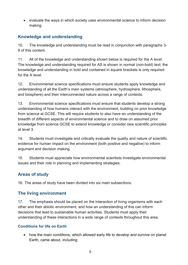• evaluate the ways in which society uses environmental science to inform decision making

#### <span id="page-15-0"></span>**Knowledge and understanding**

10. The knowledge and understanding must be read in conjunction with paragraphs 3- 9 of this content.

11. All of the knowledge and understanding shown below is required for the A level. The knowledge and understanding required for AS is shown in normal (non-bold) text; the knowledge and understanding in bold and contained in square brackets is only required for the A level.

12. Environmental science specifications must ensure students apply knowledge and understanding of all the Earth's main systems (atmosphere, hydrosphere, lithosphere, and biosphere) and their interconnected nature across a range of contexts.

13. Environmental science specifications must ensure that students develop a strong understanding of how humans interact with the environment, building on prior knowledge from science at GCSE. This will require students to also have an understanding of the breadth of different aspects of environmental science and to draw on assumed prior knowledge from science GCSE to extend knowledge or consider new scientific principles at level 3.

14. Students must investigate and critically evaluate the quality and nature of scientific evidence for human impact on the environment (both positive and negative) to inform argument and decision making.

15. Students must appreciate how environmental scientists investigate environmental issues and their role in planning and implementing strategies.

#### <span id="page-15-1"></span>**Areas of study**

<span id="page-15-2"></span>16. The areas of study have been divided into six main subsections.

#### **The living environment**

17. The emphasis should be placed on the interaction of living organisms with each other and their abiotic environment, and how an understanding of this can inform decisions that lead to sustainable human activities. Students must apply their understanding of these interactions in a wide range of contexts throughout this area.

#### **Conditions for life on Earth**

• how the main conditions, which allowed early life to develop and survive on planet Earth, came about, including: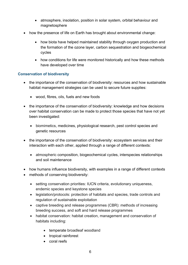- atmosphere, insolation, position in solar system, orbital behaviour and magnetosphere
- how the presence of life on Earth has brought about environmental change:
	- how biota have helped maintained stability through oxygen production and the formation of the ozone layer, carbon sequestration and biogeochemical cycles
	- how conditions for life were monitored historically and how these methods have developed over time

#### **Conservation of biodiversity**

- the importance of the conservation of biodiversity: resources and how sustainable habitat management strategies can be used to secure future supplies:
	- wood, fibres, oils, fuels and new foods
- the importance of the conservation of biodiversity: knowledge and how decisions over habitat conservation can be made to protect those species that have not yet been investigated:
	- biomimetics, medicines, physiological research, pest control species and genetic resources
- the importance of the conservation of biodiversity: ecosystem services and their interaction with each other, applied through a range of different contexts:
	- atmospheric composition, biogeochemical cycles, interspecies relationships and soil maintenance
- how humans influence biodiversity, with examples in a range of different contexts
- methods of conserving biodiversity:
	- setting conservation priorities: IUCN criteria, evolutionary uniqueness, endemic species and keystone species
	- legislation/protocols: protection of habitats and species, trade controls and regulation of sustainable exploitation
	- captive breeding and release programmes (CBR): methods of increasing breeding success, and soft and hard release programmes
	- habitat conservation: habitat creation, management and conservation of habitats including:
		- temperate broadleaf woodland
		- tropical rainforest
		- coral reefs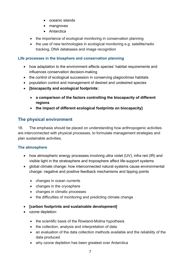- oceanic islands
- mangroves
- Antarctica
- the importance of ecological monitoring in conservation planning
- the use of new technologies in ecological monitoring e.g. satellite/radio tracking, DNA databases and image recognition

#### **Life processes in the biosphere and conservation planning**

- how adaptation to the environment affects species' habitat requirements and influences conservation decision-making
- the control of ecological succession in conserving plagioclimax habitats
- population control and management of desired and undesired species
- **[biocapacity and ecological footprints:**
	- **a comparison of the factors controlling the biocapacity of different regions**
	- **the impact of different ecological footprints on biocapacity]**

#### <span id="page-17-0"></span>**The physical environment**

18. The emphasis should be placed on understanding how anthropogenic activities are interconnected with physical processes, to formulate management strategies and plan sustainable activities.

#### **The atmosphere**

- how atmospheric energy processes involving ultra violet (UV), infra red (IR) and visible light in the stratosphere and troposphere affect life-support systems
- global climate change: how interconnected natural systems cause environmental change: negative and positive feedback mechanisms and tipping points
	- changes in ocean currents
	- changes in the cryosphere
	- changes in climatic processes
	- the difficulties of monitoring and predicting climate change
- **[carbon footprints and sustainable development]**
- ozone depletion:
	- the scientific basis of the Rowland-Molina hypothesis
	- the collection, analysis and interpretation of data
	- an evaluation of the data collection methods available and the reliability of the data produced
	- why ozone depletion has been greatest over Antarctica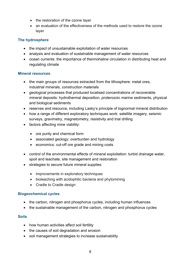- the restoration of the ozone layer
- an evaluation of the effectiveness of the methods used to restore the ozone layer

#### **The hydrosphere**

- the impact of unsustainable exploitation of water resources
- analysis and evaluation of sustainable management of water resources
- ocean currents: the importance of thermohaline circulation in distributing heat and regulating climate

#### **Mineral resources**

- the main groups of resources extracted from the lithosphere: metal ores, industrial minerals, construction materials
- geological processes that produced localised concentrations of recoverable mineral deposits: hydrothermal deposition, proterozoic marine sediments, physical and biological sediments
- reserves and resource, including Lasky's principle of lognormal mineral distribution
- how a range of different exploratory techniques work: satellite imagery, seismic surveys, gravimetry, magnetometry, resistivity and trial drilling
- factors affecting mine viability:
	- ore purity and chemical form
	- associated geology: overburden and hydrology
	- economics: cut-off ore grade and mining costs
- control of the environmental effects of mineral exploitation: turbid drainage water, spoil and leachate, site management and restoration
- strategies to secure future mineral supplies
	- improvements in exploratory techniques
	- bioleaching with acidophilic bacteria and phytomining
	- Cradle to Cradle design

#### **Biogeochemical cycles**

- the carbon, nitrogen and phosphorus cycles, including human influences
- the sustainable management of the carbon, nitrogen and phosphorus cycles

#### **Soils**

- how human activities affect soil fertility
- the causes of soil degradation and erosion
- soil management strategies to increase sustainability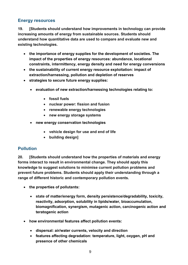#### <span id="page-19-0"></span>**Energy resources**

**19. [Students should understand how improvements in technology can provide increasing amounts of energy from sustainable sources. Students should understand how quantitative data are used to compare and evaluate new and existing technologies.**

- **the importance of energy supplies for the development of societies. The impact of the properties of energy resources: abundance, locational constraints, intermittency, energy density and need for energy conversions**
- **the sustainability of current energy resource exploitation: impact of extraction/harnessing, pollution and depletion of reserves**
- **strategies to secure future energy supplies:**
	- **evaluation of new extraction/harnessing technologies relating to:**
		- **fossil fuels**
		- **nuclear power: fission and fusion**
		- **renewable energy technologies**
		- **new energy storage systems**
	- **new energy conservation technologies**
		- **vehicle design for use and end of life**
		- **building design]**

#### <span id="page-19-1"></span>**Pollution**

**20. [Students should understand how the properties of materials and energy forms interact to result in environmental change. They should apply this knowledge to suggest solutions to minimise current pollution problems and prevent future problems. Students should apply their understanding through a range of different historic and contemporary pollution events.**

- **the properties of pollutants:**
	- **state of matter/energy form, density persistence/degradability, toxicity, reactivity, adsorption, solubility in lipids/water, bioaccumulation, biomagnification, synergism, mutagenic action, carcinogenic action and teratogenic action**
- **how environmental features affect pollution events:**
	- **dispersal: air/water currents, velocity and direction**
	- **features affecting degradation: temperature, light, oxygen, pH and presence of other chemicals**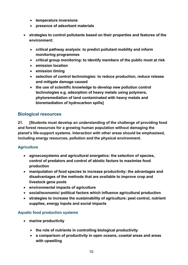- **temperature inversions**
- **presence of adsorbant materials**
- **strategies to control pollutants based on their properties and features of the environment:**
	- **critical pathway analysis: to predict pollutant mobility and inform monitoring programmes**
	- **critical group monitoring: to identify members of the public most at risk**
	- **emission location**
	- **emission timing**
	- **selection of control technologies: to reduce production, reduce release and mitigate damage caused**
	- **the use of scientific knowledge to develop new pollution control technologies e.g. adsorption of heavy metals using polymers, phytoremediation of land contaminated with heavy metals and bioremediation of hydrocarbon spills]**

#### <span id="page-20-0"></span>**Biological resources**

**21. [Students must develop an understanding of the challenge of providing food and forest resources for a growing human population without damaging the planet's life-support systems. Interaction with other areas should be emphasised, including energy resources, pollution and the physical environment.**

#### **Agriculture**

- **agroecosystems and agricultural energetics: the selection of species, control of predators and control of abiotic factors to maximise food production**
- **manipulation of food species to increase productivity: the advantages and disadvantages of the methods that are available to improve crop and livestock gene pools**
- **environmental impacts of agriculture**
- **social/economic/ political factors which influence agricultural production**
- **strategies to increase the sustainability of agriculture: pest control, nutrient supplies, energy inputs and social impacts**

#### **Aquatic food production systems**

- **marine productivity**
	- **the role of nutrients in controlling biological productivity**
	- **a comparison of productivity in open oceans, coastal areas and areas with upwelling**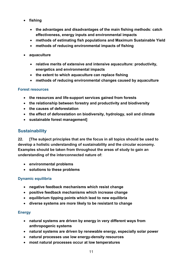- **fishing**
	- **the advantages and disadvantages of the main fishing methods: catch effectiveness, energy inputs and environmental impacts**
	- **methods of estimating fish populations and Maximum Sustainable Yield**
	- **methods of reducing environmental impacts of fishing**
- **aquaculture**
	- **relative merits of extensive and intensive aquaculture: productivity, energetics and environmental impacts**
	- **the extent to which aquaculture can replace fishing**
	- **methods of reducing environmental changes caused by aquaculture**

#### **Forest resources**

- **the resources and life-support services gained from forests**
- **the relationship between forestry and productivity and biodiversity**
- **the causes of deforestation**
- **the effect of deforestation on biodiversity, hydrology, soil and climate**
- **sustainable forest management]**

#### <span id="page-21-0"></span>**Sustainability**

**22. [The subject principles that are the focus in all topics should be used to develop a holistic understanding of sustainability and the circular economy. Examples should be taken from throughout the areas of study to gain an understanding of the interconnected nature of:**

- **environmental problems**
- **solutions to these problems**

#### **Dynamic equilibria**

- **negative feedback mechanisms which resist change**
- **positive feedback mechanisms which increase change**
- **equilibrium tipping points which lead to new equilibria**
- **diverse systems are more likely to be resistant to change**

#### **Energy**

- **natural systems are driven by energy in very different ways from anthropogenic systems**
- **natural systems are driven by renewable energy, especially solar power**
- **natural processes use low energy-density resources**
- **most natural processes occur at low temperatures**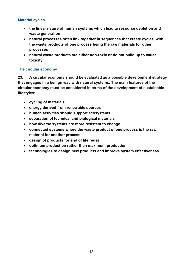#### **Material cycles**

- **the linear nature of human systems which lead to resource depletion and waste generation**
- **natural processes often link together in sequences that create cycles, with the waste products of one process being the raw materials for other processes**
- **natural waste products are either non-toxic or do not build up to cause toxicity**

#### **The circular economy**

**23. A circular economy should be evaluated as a possible development strategy that engages in a benign way with natural systems. The main features of the circular economy must be considered in terms of the development of sustainable lifestyles:** 

- **cycling of materials**
- **energy derived from renewable sources**
- **human activities should support ecosystems**
- **separation of technical and biological materials**
- **how diverse systems are more resistant to change**
- **connected systems where the waste product of one process is the raw material for another process**
- **design of products for end of life reuse**
- **optimum production rather than maximum production**
- **technologies to design new products and improve system effectiveness**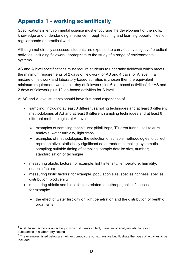# <span id="page-23-0"></span>**Appendix 1 - working scientifically**

Specifications in environmental science must encourage the development of the skills, knowledge and understanding in science through teaching and learning opportunities for regular hands-on practical work.

Although not directly assessed, students are expected to carry out investigative/ practical activities, including fieldwork, appropriate to the study of a range of environmental systems.

AS and A level specifications must require students to undertake fieldwork which meets the minimum requirements of 2 days of fieldwork for AS and 4 days for A level. If a mixture of fieldwork and laboratory-based activities is chosen then the equivalent minimum requirement would be [1](#page-11-0) day of fieldwork plus 6 lab-based activities<sup>1</sup> for AS and 2 days of fieldwork plus 12 lab-based activities for A level.

At AS and A level students should have first-hand experience of<sup>[2](#page-23-1)</sup>:

- sampling: including at least 3 different sampling techniques and at least 3 different methodologies at AS and at least 6 different sampling techniques and at least 6 different methodologies at A Level:
	- examples of sampling techniques: pitfall traps, Tüllgren funnel, soil texture analysis, water turbidity, light traps
	- examples of methodologies: the selection of suitable methodologies to collect representative, statistically significant data: random sampling, systematic sampling; suitable timing of sampling; sample details: size, number; standardisation of technique
- measuring abiotic factors: for example, light intensity, temperature, humidity, edaphic factors
- measuring biotic factors: for example, population size, species richness, species distribution, biodiversity
- measuring abiotic and biotic factors related to anthropogenic influences for example:
	- the effect of water turbidity on light penetration and the distribution of benthic organisms

 $\overline{a}$ 

 $1$  A lab based activity is an activity in which students collect, measure or analyse data, factors or substances in a laboratory setting

<span id="page-23-1"></span> $2$  The examples listed below are neither compulsory nor exhaustive but illustrate the types of activities to be included.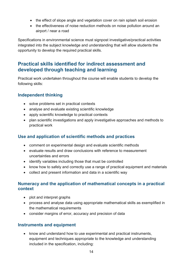- the effect of slope angle and vegetation cover on rain splash soil erosion
- the effectiveness of noise reduction methods on noise pollution around an airport / near a road

Specifications in environmental science must signpost investigative/practical activities integrated into the subject knowledge and understanding that will allow students the opportunity to develop the required practical skills.

### <span id="page-24-0"></span>**Practical skills identified for indirect assessment and developed through teaching and learning**

Practical work undertaken throughout the course will enable students to develop the following skills:

#### <span id="page-24-1"></span>**Independent thinking**

- solve problems set in practical contexts
- analyse and evaluate existing scientific knowledge
- apply scientific knowledge to practical contexts
- plan scientific investigations and apply investigative approaches and methods to practical work

#### <span id="page-24-2"></span>**Use and application of scientific methods and practices**

- comment on experimental design and evaluate scientific methods
- evaluate results and draw conclusions with reference to measurement uncertainties and errors
- identify variables including those that must be controlled
- know how to safely and correctly use a range of practical equipment and materials
- collect and present information and data in a scientific way

#### <span id="page-24-3"></span>**Numeracy and the application of mathematical concepts in a practical context**

- plot and interpret graphs
- process and analyse data using appropriate mathematical skills as exemplified in the mathematical requirements
- consider margins of error, accuracy and precision of data

#### <span id="page-24-4"></span>**Instruments and equipment**

• know and understand how to use experimental and practical instruments, equipment and techniques appropriate to the knowledge and understanding included in the specification, including: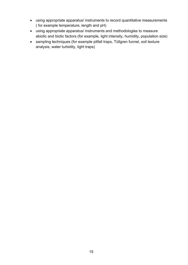- using appropriate apparatus/ instruments to record quantitative measurements ( for example temperature, length and pH)
- using appropriate apparatus/ instruments and methodologies to measure abiotic and biotic factors (for example, light intensity, humidity, population size)
- sampling techniques (for example pitfall traps, Tüllgren funnel, soil texture analysis, water turbidity, light traps)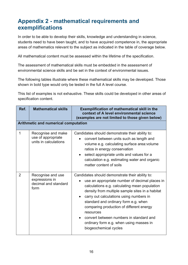# <span id="page-26-0"></span>**Appendix 2 - mathematical requirements and exemplifications**

In order to be able to develop their skills, knowledge and understanding in science, students need to have been taught, and to have acquired competence in, the appropriate areas of mathematics relevant to the subject as indicated in the table of coverage below.

All mathematical content must be assessed within the lifetime of the specification.

The assessment of mathematical skills must be embedded in the assessment of environmental science skills and be set in the context of environmental issues.

The following tables illustrate where these mathematical skills may be developed. Those shown in bold type would only be tested in the full A level course.

This list of examples is not exhaustive. These skills could be developed in other areas of specification content.

| Ref. | <b>Mathematical skills</b>                                          | <b>Exemplification of mathematical skill in the</b><br>context of A level environmental science<br>(examples are not limited to those given below)                                                                                                                                                                                                                                                                                                               |
|------|---------------------------------------------------------------------|------------------------------------------------------------------------------------------------------------------------------------------------------------------------------------------------------------------------------------------------------------------------------------------------------------------------------------------------------------------------------------------------------------------------------------------------------------------|
|      | Arithmetic and numerical computation                                |                                                                                                                                                                                                                                                                                                                                                                                                                                                                  |
| 1    | Recognise and make<br>use of appropriate<br>units in calculations   | Candidates should demonstrate their ability to:<br>convert between units such as length and<br>volume e.g. calculating surface area: volume<br>ratios in energy conservation<br>select appropriate units and values for a<br>$\bullet$<br>calculation e.g. estimating water and organic<br>matter content of soils                                                                                                                                               |
| 2    | Recognise and use<br>expressions in<br>decimal and standard<br>form | Candidates should demonstrate their ability to:<br>use an appropriate number of decimal places in<br>calculations e.g. calculating mean population<br>density from multiple sample sites in a habitat<br>carry out calculations using numbers in<br>standard and ordinary form e.g. when<br>comparing production of different energy<br>resources<br>convert between numbers in standard and<br>ordinary form e.g. when using masses in<br>biogeochemical cycles |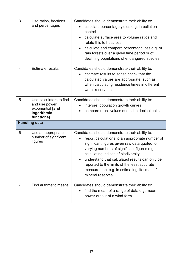| 3              | Use ratios, fractions<br>and percentages                                                   | Candidates should demonstrate their ability to:<br>calculate percentage yields e.g. in pollution<br>control<br>calculate surface area to volume ratios and<br>$\bullet$<br>relate this to heat loss<br>calculate and compare percentage loss e.g. of<br>$\bullet$<br>rain forests over a given time period or of<br>declining populations of endangered species                                                  |
|----------------|--------------------------------------------------------------------------------------------|------------------------------------------------------------------------------------------------------------------------------------------------------------------------------------------------------------------------------------------------------------------------------------------------------------------------------------------------------------------------------------------------------------------|
| $\overline{4}$ | <b>Estimate results</b>                                                                    | Candidates should demonstrate their ability to:<br>estimate results to sense check that the<br>calculated values are appropriate, such as<br>when calculating residence times in different<br>water reservoirs                                                                                                                                                                                                   |
| 5              | Use calculators to find<br>and use power,<br>exponential [and<br>logarithmic<br>functions] | Candidates should demonstrate their ability to:<br>interpret population growth curves<br>compare noise values quoted in decibel units                                                                                                                                                                                                                                                                            |
|                | <b>Handling data</b>                                                                       |                                                                                                                                                                                                                                                                                                                                                                                                                  |
| 6              | Use an appropriate<br>number of significant<br>figures                                     | Candidates should demonstrate their ability to:<br>report calculations to an appropriate number of<br>significant figures given raw data quoted to<br>varying numbers of significant figures e.g. in<br>calculating indices of biodiversity<br>understand that calculated results can only be<br>reported to the limits of the least accurate<br>measurement e.g. in estimating lifetimes of<br>mineral reserves |
| $\overline{7}$ | Find arithmetic means                                                                      | Candidates should demonstrate their ability to:<br>find the mean of a range of data e.g. mean<br>power output of a wind farm                                                                                                                                                                                                                                                                                     |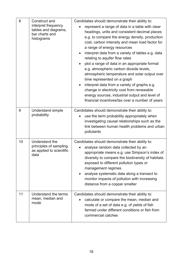| 8  | Construct and<br>interpret frequency<br>tables and diagrams,<br>bar charts and<br>histograms | Candidates should demonstrate their ability to:<br>represent a range of data in a table with clear<br>headings, units and consistent decimal places<br>e.g. to compare the energy density, production<br>cost, carbon intensity and mean load factor for<br>a range of energy resources<br>interpret data from a variety of tables e.g. data<br>$\bullet$<br>relating to aquifer flow rates<br>plot a range of data in an appropriate format<br>e.g. atmospheric carbon dioxide levels,<br>atmospheric temperature and solar output over<br>time represented on a graph<br>interpret data from a variety of graphs e.g.<br>$\bullet$<br>change in electricity cost from renewable<br>energy sources, industrial output and level of<br>financial incentives/tax over a number of years |
|----|----------------------------------------------------------------------------------------------|----------------------------------------------------------------------------------------------------------------------------------------------------------------------------------------------------------------------------------------------------------------------------------------------------------------------------------------------------------------------------------------------------------------------------------------------------------------------------------------------------------------------------------------------------------------------------------------------------------------------------------------------------------------------------------------------------------------------------------------------------------------------------------------|
| 9  | Understand simple<br>probability                                                             | Candidates should demonstrate their ability to:<br>use the term probability appropriately when<br>investigating causal relationships such as the<br>link between human health problems and urban<br>pollutants                                                                                                                                                                                                                                                                                                                                                                                                                                                                                                                                                                         |
| 10 | Understand the<br>principles of sampling<br>as applied to scientific<br>data                 | Candidates should demonstrate their ability to:<br>analyse random data collected by an<br>appropriate means e.g. use Simpson's index of<br>diversity to compare the biodiversity of habitats<br>exposed to different pollution types or<br>management regimes<br>analyse systematic data along a transect to<br>$\bullet$<br>monitor impacts of pollution with increasing<br>distance from a copper smelter                                                                                                                                                                                                                                                                                                                                                                            |
| 11 | Understand the terms<br>mean, median and<br>mode                                             | Candidates should demonstrate their ability to:<br>calculate or compare the mean, median and<br>$\bullet$<br>mode of a set of data e.g. of yields of fish<br>farmed under different conditions or fish from<br>commercial catches                                                                                                                                                                                                                                                                                                                                                                                                                                                                                                                                                      |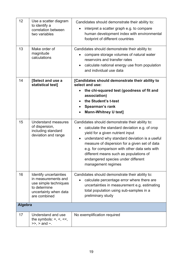| 12             | Use a scatter diagram<br>to identify a<br>correlation between<br>two variables                                                         | Candidates should demonstrate their ability to:<br>interpret a scatter graph e.g. to compare<br>human development index with environmental<br>footprint of different countries                                                                                                                                                                                                                             |
|----------------|----------------------------------------------------------------------------------------------------------------------------------------|------------------------------------------------------------------------------------------------------------------------------------------------------------------------------------------------------------------------------------------------------------------------------------------------------------------------------------------------------------------------------------------------------------|
| 13             | Make order of<br>magnitude<br>calculations                                                                                             | Candidates should demonstrate their ability to:<br>compare storage volumes of natural water<br>reservoirs and transfer rates<br>calculate national energy use from population<br>and individual use data                                                                                                                                                                                                   |
| 14             | [Select and use a<br>statistical test]                                                                                                 | [Candidates should demonstrate their ability to<br>select and use:<br>the chi-squared test (goodness of fit and<br>association)<br>the Student's t-test<br>Spearman's rank<br><b>Mann-Whitney U test]</b>                                                                                                                                                                                                  |
| 15             | Understand measures<br>of dispersion,<br>including standard<br>deviation and range                                                     | Candidates should demonstrate their ability to:<br>calculate the standard deviation e.g. of crop<br>yield for a given nutrient input<br>understand why standard deviation is a useful<br>$\bullet$<br>measure of dispersion for a given set of data<br>e.g. for comparison with other data sets with<br>different means such as populations of<br>endangered species under different<br>management regimes |
| 16             | <b>Identify uncertainties</b><br>in measurements and<br>use simple techniques<br>to determine<br>uncertainty when data<br>are combined | Candidates should demonstrate their ability to:<br>calculate percentage error where there are<br>uncertainties in measurement e.g. estimating<br>total population using sub-samples in a<br>preliminary study                                                                                                                                                                                              |
| <b>Algebra</b> |                                                                                                                                        |                                                                                                                                                                                                                                                                                                                                                                                                            |
| 17             | Understand and use<br>the symbols: $=$ , $\lt$ , $\lt$<br>$\gg$ , $>$ and $\sim$ .                                                     | No exemplification required                                                                                                                                                                                                                                                                                                                                                                                |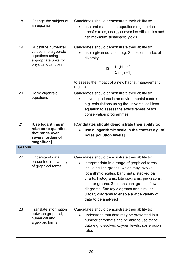| 18            | Change the subject of<br>an equation                                                                             | Candidates should demonstrate their ability to:<br>use and manipulate equations e.g. nutrient<br>transfer rates, energy conversion efficiencies and<br>fish maximum sustainable yields                                                                                                                                                                                                                       |
|---------------|------------------------------------------------------------------------------------------------------------------|--------------------------------------------------------------------------------------------------------------------------------------------------------------------------------------------------------------------------------------------------------------------------------------------------------------------------------------------------------------------------------------------------------------|
| 19            | Substitute numerical<br>values into algebraic<br>equations using<br>appropriate units for<br>physical quantities | Candidates should demonstrate their ability to:<br>use a given equation e.g. Simpson's- index of<br>diversity:<br><b>D</b> = $\frac{N (N-1)}{\Sigma n (n-1)}$<br>to assess the impact of a new habitat management<br>regime                                                                                                                                                                                  |
| 20            | Solve algebraic<br>equations                                                                                     | Candidates should demonstrate their ability to:<br>solve equations in an environmental context<br>e.g. calculations using the universal soil loss<br>equation to assess the effectiveness of soil<br>conservation programmes                                                                                                                                                                                 |
| 21            | [Use logarithms in<br>relation to quantities<br>that range over<br>several orders of<br>magnitude]               | [Candidates should demonstrate their ability to:<br>use a logarithmic scale in the context e.g. of<br>noise pollution levels]                                                                                                                                                                                                                                                                                |
| <b>Graphs</b> |                                                                                                                  |                                                                                                                                                                                                                                                                                                                                                                                                              |
| 22            | Understand data<br>presented in a variety<br>of graphical forms                                                  | Candidates should demonstrate their ability to:<br>interpret data in a range of graphical forms,<br>including line graphs, which may involve<br>logarithmic scales, bar charts, stacked bar<br>charts, histograms, kite diagrams, pie graphs,<br>scatter graphs, 3-dimensional graphs, flow<br>diagrams, Sankey diagrams and circular<br>(radar) diagrams to enable a wide variety of<br>data to be analysed |
| 23            | Translate information<br>between graphical,<br>numerical and<br>algebraic forms                                  | Candidates should demonstrate their ability to:<br>understand that data may be presented in a<br>number of formats and be able to use these<br>data e.g. dissolved oxygen levels, soil erosion<br>rates                                                                                                                                                                                                      |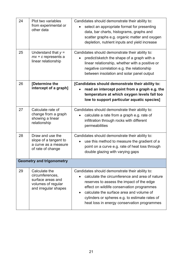| 24 | Plot two variables<br>from experimental or<br>other data                                            | Candidates should demonstrate their ability to:<br>select an appropriate format for presenting<br>data, bar charts, histograms, graphs and<br>scatter graphs e.g. organic matter and oxygen<br>depletion, nutrient inputs and yield increase                                                                                              |  |
|----|-----------------------------------------------------------------------------------------------------|-------------------------------------------------------------------------------------------------------------------------------------------------------------------------------------------------------------------------------------------------------------------------------------------------------------------------------------------|--|
| 25 | Understand that $y =$<br>$mx + c$ represents a<br>linear relationship                               | Candidates should demonstrate their ability to:<br>predict/sketch the shape of a graph with a<br>linear relationship, whether with a positive or<br>negative correlation e.g. the relationship<br>between insolation and solar panel output                                                                                               |  |
| 26 | [Determine the<br>intercept of a graph]                                                             | [Candidates should demonstrate their ability to:<br>read an intercept point from a graph e.g. the<br>temperature at which oxygen levels fall too<br>low to support particular aquatic species]                                                                                                                                            |  |
| 27 | Calculate rate of<br>change from a graph<br>showing a linear<br>relationship                        | Candidates should demonstrate their ability to:<br>calculate a rate from a graph e.g. rate of<br>infiltration through rocks with different<br>permeabilities                                                                                                                                                                              |  |
| 28 | Draw and use the<br>slope of a tangent to<br>a curve as a measure<br>of rate of change              | Candidates should demonstrate their ability to:<br>use this method to measure the gradient of a<br>point on a curve e.g. rate of heat loss through<br>double glazing with varying gaps                                                                                                                                                    |  |
|    | <b>Geometry and trigonometry</b>                                                                    |                                                                                                                                                                                                                                                                                                                                           |  |
| 29 | Calculate the<br>circumferences,<br>surface areas and<br>volumes of regular<br>and irregular shapes | Candidates should demonstrate their ability to:<br>calculate the circumference and area of nature<br>reserves to assess the impact of the edge<br>effect on wildlife conservation programmes<br>calculate the surface area and volume of<br>cylinders or spheres e.g. to estimate rates of<br>heat loss in energy conservation programmes |  |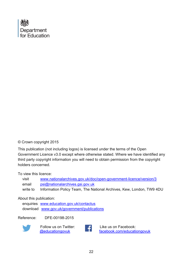

#### © Crown copyright 2015

This publication (not including logos) is licensed under the terms of the Open Government Licence v3.0 except where otherwise stated. Where we have identified any third party copyright information you will need to obtain permission from the copyright holders concerned.

To view this licence:

| visit    | www.nationalarchives.gov.uk/doc/open-government-licence/version/3    |
|----------|----------------------------------------------------------------------|
| email    | psi@nationalarchives.gsi.gov.uk                                      |
| write to | Information Policy Team, The National Archives, Kew, London, TW9 4DU |

#### About this publication:

enquiries [www.education.gov.uk/contactus](http://www.education.gov.uk/contactus)  download [www.gov.uk/government/publications](http://www.gov.uk/government/publications)

Reference: DFE-00198-2015



Follow us on Twitter:<br> **CONFINENTIAL CONFIDENT** 



Like us on Facebook: [facebook.com/educationgovuk](http://www.facebook.com/educationgovuk)